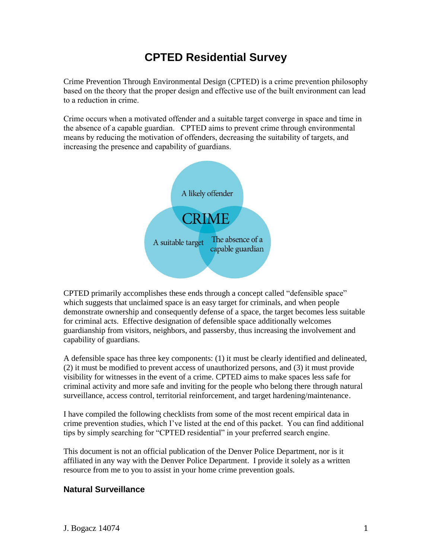# **CPTED Residential Survey**

Crime Prevention Through Environmental Design (CPTED) is a crime prevention philosophy based on the theory that the proper design and effective use of the built environment can lead to a reduction in crime.

Crime occurs when a motivated offender and a suitable target converge in space and time in the absence of a capable guardian. CPTED aims to prevent crime through environmental means by reducing the motivation of offenders, decreasing the suitability of targets, and increasing the presence and capability of guardians.



CPTED primarily accomplishes these ends through a concept called "defensible space" which suggests that unclaimed space is an easy target for criminals, and when people demonstrate ownership and consequently defense of a space, the target becomes less suitable for criminal acts. Effective designation of defensible space additionally welcomes guardianship from visitors, neighbors, and passersby, thus increasing the involvement and capability of guardians.

A defensible space has three key components: (1) it must be clearly identified and delineated, (2) it must be modified to prevent access of unauthorized persons, and (3) it must provide visibility for witnesses in the event of a crime. CPTED aims to make spaces less safe for criminal activity and more safe and inviting for the people who belong there through natural surveillance, access control, territorial reinforcement, and target hardening/maintenance.

I have compiled the following checklists from some of the most recent empirical data in crime prevention studies, which I've listed at the end of this packet. You can find additional tips by simply searching for "CPTED residential" in your preferred search engine.

This document is not an official publication of the Denver Police Department, nor is it affiliated in any way with the Denver Police Department. I provide it solely as a written resource from me to you to assist in your home crime prevention goals.

#### **Natural Surveillance**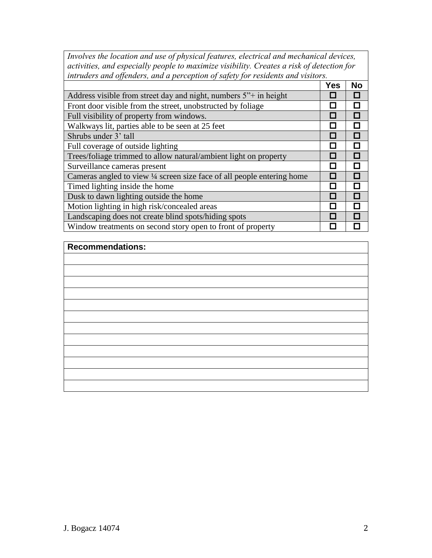*Involves the location and use of physical features, electrical and mechanical devices, activities, and especially people to maximize visibility. Creates a risk of detection for intruders and offenders, and a perception of safety for residents and visitors.*

| $\mu$ , $\mu$ , $\mu$ , $\mu$ , $\mu$ , $\mu$ , $\mu$ , $\mu$ , $\mu$ , $\mu$ , $\mu$ , $\mu$ , $\mu$ , $\mu$ , $\mu$ , $\mu$ , $\mu$ , $\mu$ , $\mu$ |              |           |
|-------------------------------------------------------------------------------------------------------------------------------------------------------|--------------|-----------|
|                                                                                                                                                       | <b>Yes</b>   | <b>No</b> |
| Address visible from street day and night, numbers 5 <sup>"+</sup> in height                                                                          |              | П         |
| Front door visible from the street, unobstructed by foliage                                                                                           | $\mathbf{I}$ | П         |
| Full visibility of property from windows.                                                                                                             | I .          | П         |
| Walkways lit, parties able to be seen at 25 feet                                                                                                      | $\Box$       | П         |
| Shrubs under 3' tall                                                                                                                                  |              | П         |
| Full coverage of outside lighting                                                                                                                     |              | П         |
| Trees/foliage trimmed to allow natural/ambient light on property                                                                                      |              | П         |
| Surveillance cameras present                                                                                                                          | П            | П         |
| Cameras angled to view 1/4 screen size face of all people entering home                                                                               |              | П         |
| Timed lighting inside the home                                                                                                                        | П            | П         |
| Dusk to dawn lighting outside the home                                                                                                                |              | П         |
| Motion lighting in high risk/concealed areas                                                                                                          |              | Π         |
| Landscaping does not create blind spots/hiding spots                                                                                                  | П            |           |
| Window treatments on second story open to front of property                                                                                           |              |           |

| <b>Recommendations:</b> |
|-------------------------|
|                         |
|                         |
|                         |
|                         |
|                         |
|                         |
|                         |
|                         |
|                         |
|                         |
|                         |
|                         |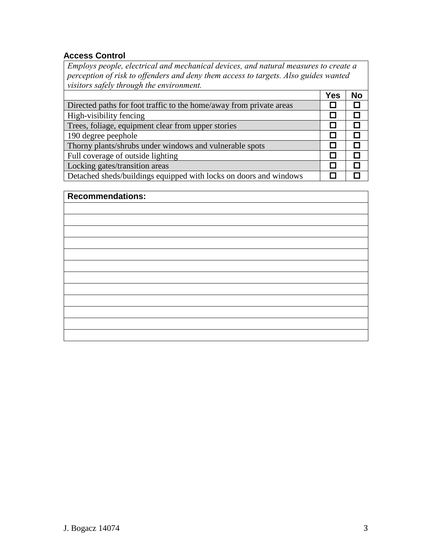#### **Access Control**

*Employs people, electrical and mechanical devices, and natural measures to create a perception of risk to offenders and deny them access to targets. Also guides wanted visitors safely through the environment.*

|                                                                     | <b>Yes</b> | <b>No</b> |
|---------------------------------------------------------------------|------------|-----------|
| Directed paths for foot traffic to the home/away from private areas |            |           |
| High-visibility fencing                                             |            | Π         |
| Trees, foliage, equipment clear from upper stories                  |            |           |
| 190 degree peephole                                                 |            |           |
| Thorny plants/shrubs under windows and vulnerable spots             |            |           |
| Full coverage of outside lighting                                   |            |           |
| Locking gates/transition areas                                      |            |           |
| Detached sheds/buildings equipped with locks on doors and windows   |            |           |

| <b>Recommendations:</b> |
|-------------------------|
|                         |
|                         |
|                         |
|                         |
|                         |
|                         |
|                         |
|                         |
|                         |
|                         |
|                         |
|                         |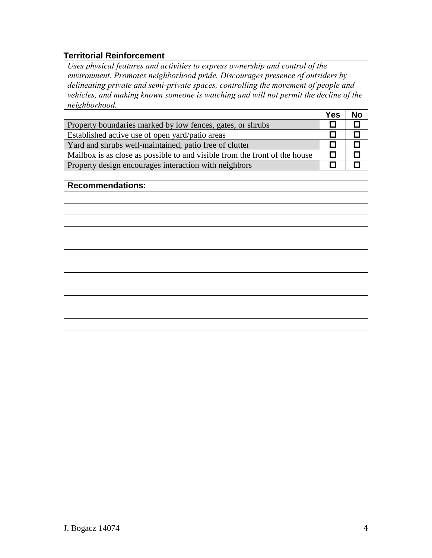### **Territorial Reinforcement**

*Uses physical features and activities to express ownership and control of the environment. Promotes neighborhood pride. Discourages presence of outsiders by delineating private and semi-private spaces, controlling the movement of people and vehicles, and making known someone is watching and will not permit the decline of the neighborhood.*

|                                                                            | Yes | No |
|----------------------------------------------------------------------------|-----|----|
| Property boundaries marked by low fences, gates, or shrubs                 |     |    |
| Established active use of open yard/patio areas                            |     |    |
| Yard and shrubs well-maintained, patio free of clutter                     |     |    |
| Mailbox is as close as possible to and visible from the front of the house |     |    |
| Property design encourages interaction with neighbors                      |     |    |

| <b>Recommendations:</b> |  |  |
|-------------------------|--|--|
|                         |  |  |
|                         |  |  |
|                         |  |  |
|                         |  |  |
|                         |  |  |
|                         |  |  |
|                         |  |  |
|                         |  |  |
|                         |  |  |
|                         |  |  |
|                         |  |  |
|                         |  |  |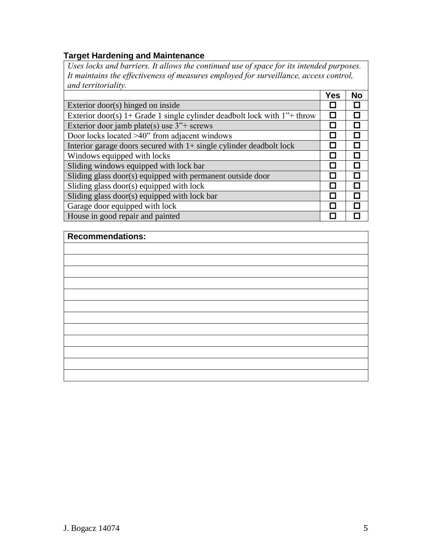#### **Target Hardening and Maintenance**

*Uses locks and barriers. It allows the continued use of space for its intended purposes. It maintains the effectiveness of measures employed for surveillance, access control, and territoriality.*

|                                                                                        | <b>Yes</b> | <b>No</b> |
|----------------------------------------------------------------------------------------|------------|-----------|
| Exterior door(s) hinged on inside                                                      |            |           |
| Exterior door(s) 1+ Grade 1 single cylinder deadbolt lock with $1$ <sup>*+</sup> throw | П          |           |
| Exterior door jamb plate(s) use $3''$ + screws                                         | ш          |           |
| Door locks located >40" from adjacent windows                                          | . .        |           |
| Interior garage doors secured with $1+$ single cylinder deadbolt lock                  |            |           |
| Windows equipped with locks                                                            |            |           |
| Sliding windows equipped with lock bar                                                 | I I        |           |
| Sliding glass door(s) equipped with permanent outside door                             | П          |           |
| Sliding glass door(s) equipped with lock                                               | П          |           |
| Sliding glass door(s) equipped with lock bar                                           | . .        |           |
| Garage door equipped with lock                                                         | I I        |           |
| House in good repair and painted                                                       |            |           |

## **Recommendations:**

| <u> 2008 - Ann an Dùbhlachd ann an Dùbhlachd ann an Dùbhlachd ann an Dùbhlachd ann an Dùbhlachd ann an Dùbhlachd </u> |  |  |  |
|-----------------------------------------------------------------------------------------------------------------------|--|--|--|
|                                                                                                                       |  |  |  |
|                                                                                                                       |  |  |  |
|                                                                                                                       |  |  |  |
|                                                                                                                       |  |  |  |
|                                                                                                                       |  |  |  |
|                                                                                                                       |  |  |  |
|                                                                                                                       |  |  |  |